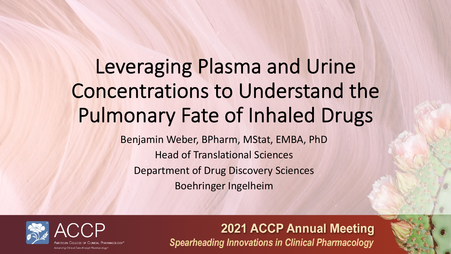# Leveraging Plasma and Urine Concentrations to Understand the Pulmonary Fate of Inhaled Drugs

Benjamin Weber, BPharm, MStat, EMBA, PhD Head of Translational Sciences Department of Drug Discovery Sciences Boehringer Ingelheim

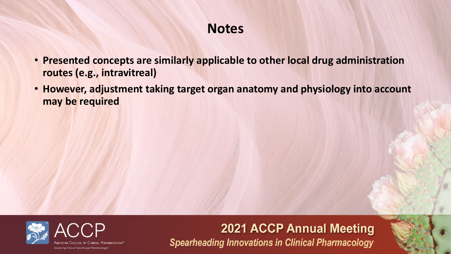# **Notes**

- **Presented concepts are similarly applicable to other local drug administration routes (e.g., intravitreal)**
- **However, adjustment taking target organ anatomy and physiology into account may be required**

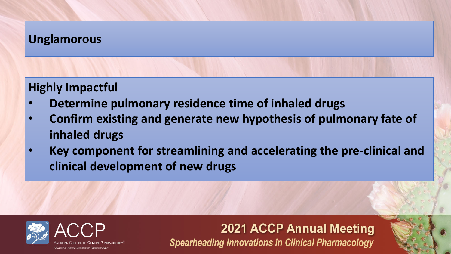### **Unglamorous**

### **Highly Impactful**

- **Determine pulmonary residence time of inhaled drugs**
- **Confirm existing and generate new hypothesis of pulmonary fate of inhaled drugs**
- **Key component for streamlining and accelerating the pre-clinical and clinical development of new drugs**

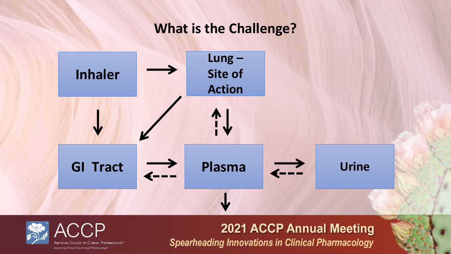### **What is the Challenge?**



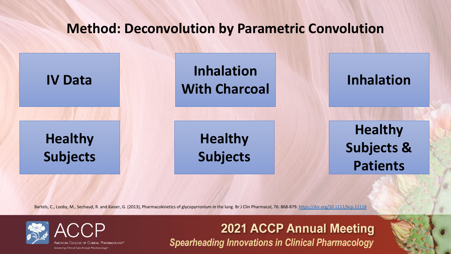# **Method: Deconvolution by Paramet**

**Healthy Subjects**

**IV Data [Inh](https://doi.org/10.1111/bcp.12118)alation Inhalation With Charcoal**

> **Healthy Subjects**

Bartels, C., Looby, M., Sechaud, R. and Kaiser, G. (2013), Pharmacokinetics of glycopyrronium in the lung. Br J Clin Pharmacol, 76: 868





cing Clinical Care through Pharmacology

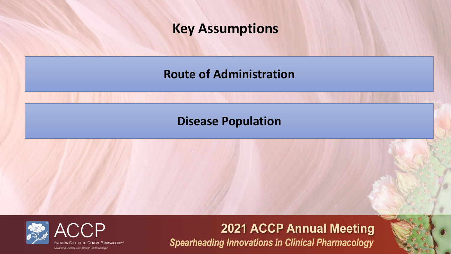### **Key Assumptions**

**Route of Administration** 

### **Disease Population**

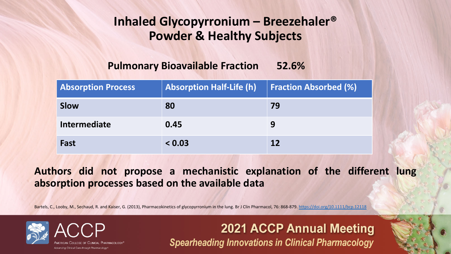# **Inhaled Glycopyrronium – Bree Powder & Healthy Subject**

#### **Pulmonary Bioavailable Fraction 52.6%**

2021 ACCP

**Spearheading Innovations in (** 

| <b>Absorption Process</b> | <b>Absorption Half-Life (h)</b> | Fract     |
|---------------------------|---------------------------------|-----------|
| <b>Slow</b>               | 80                              | 79        |
| Intermediate              | 0.45                            | 9         |
| Fast                      | < 0.03                          | <b>12</b> |

#### **Authors did not propose a mechanistic explanational absorption processes based on the available data**

Bartels, C., Looby, M., Sechaud, R. and Kaiser, G. (2013), Pharmacokinetics of glycopyrronium in the lung. Br J Clin Pharmacol, 76: 868





ng Clinical Care through Pharmacology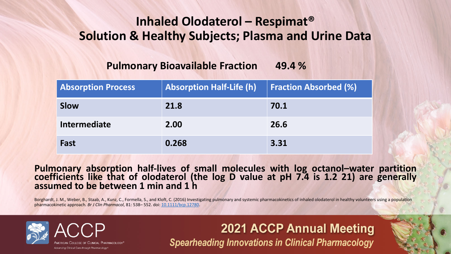# **Inhaled Olodaterol - Respirational Solution & Healthy Subjects; Plasma**

#### **Pulmonary Bioavailable Fraction 49.4 %**

| <b>Absorption Process</b> | <b>Absorption Half-Life (h)</b> | Fract |
|---------------------------|---------------------------------|-------|
| <b>Slow</b>               | 21.8                            | 70.1  |
| <b>Intermediate</b>       | 2.00                            | 26.6  |
| Fast                      | 0.268                           | 3.31  |

### Pulmonary absorption half-lives of small molecules with<br>coefficients like that of olodaterol (the log D value at pl **assumed to be between 1 min and 1 h**

Borghardt, J. M., Weber, B., Staab, A., Kunz, C., Formella, S., and Kloft, C. (2016) Investigating pulmonary and systemic pharmacokine pharmacokinetic approach. *Br J Clin Pharmacol*, 81: 538– 552. doi: 10.1111/bcp.12780.





cing Clinical Care through Pharmacology

2021 ACCP **Spearheading Innovations in (**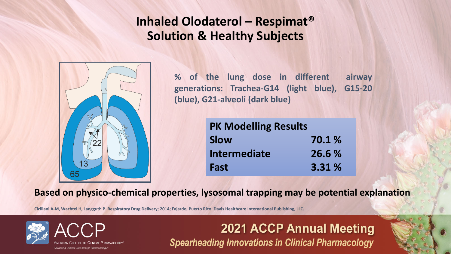### **Inhaled Olodaterol – Respimat® Solution & Healthy Subjects**



**% of the lung dose in different airway generations: Trachea-G14 (light blue), G15-20 (blue), G21-alveoli (dark blue)**

| <b>PK Modelling Results</b> |        |
|-----------------------------|--------|
| <b>Slow</b>                 | 70.1 % |
| <b>Intermediate</b>         | 26.6 % |
| Fast                        | 3.31%  |

**Based on physico-chemical properties, lysosomal trapping may be potential explanation**

**Ciciliani A-M, Wachtel H, Langguth P. Respiratory Drug Delivery; 2014; Fajardo, Puerto Rico: Davis Healthcare International Publishing, LLC.**

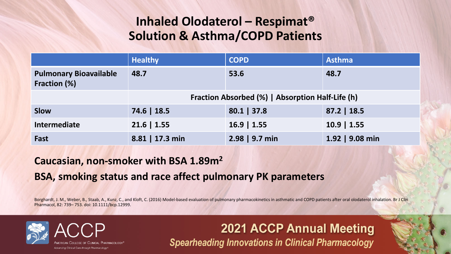### **Inhaled Olodaterol – Respimat® Solution & Asthma/COPD Patients**

|                                               | <b>Healthy</b>                                   | <b>COPD</b>    | <b>Asthma</b>   |  |  |
|-----------------------------------------------|--------------------------------------------------|----------------|-----------------|--|--|
| <b>Pulmonary Bioavailable</b><br>Fraction (%) | 48.7                                             | 53.6           | 48.7            |  |  |
|                                               | Fraction Absorbed (%)   Absorption Half-Life (h) |                |                 |  |  |
| <b>Slow</b>                                   | 74.6   18.5                                      | $80.1$   37.8  | $87.2$   18.5   |  |  |
| Intermediate                                  | $21.6$   1.55                                    | $16.9$   1.55  | $10.9$   1.55   |  |  |
| Fast                                          | 8.81   17.3 min                                  | 2.98   9.7 min | 1.92   9.08 min |  |  |

#### **Caucasian, non-smoker with BSA 1.89m2**

#### **BSA, smoking status and race affect pulmonary PK parameters**

Borghardt, J. M., Weber, B., Staab, A., Kunz, C., and Kloft, C. (2016) Model-based evaluation of pulmonary pharmacokinetics in asthmatic and COPD patients after oral olodaterol inhalation. Br J Clin Pharmacol, 82: 739– 753. doi: 10.1111/bcp.12999.

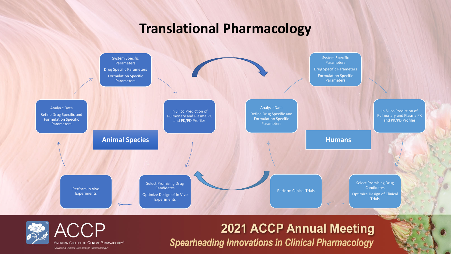### **Translational Pharmacology**



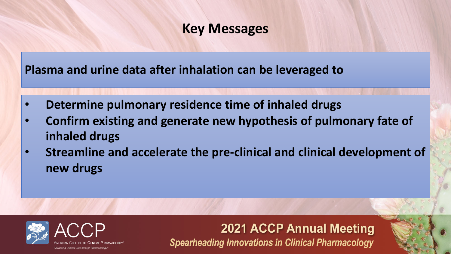### **Key Messages**

**Plasma and urine data after inhalation can be leveraged to** 

- **Determine pulmonary residence time of inhaled drugs**
- **Confirm existing and generate new hypothesis of pulmonary fate of inhaled drugs**
- **Streamline and accelerate the pre-clinical and clinical development of new drugs**